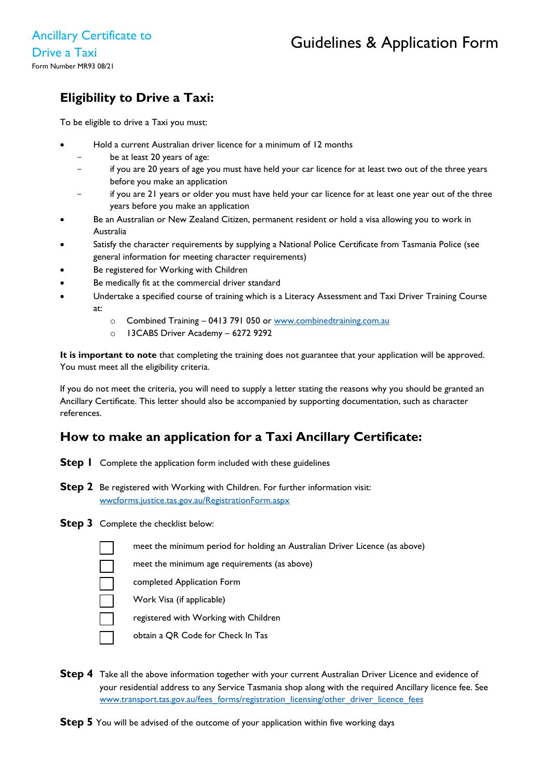# **Eligibility to Drive a Taxi:**

To be eligible to drive a Taxi you must:

- Hold a current Australian driver licence for a minimum of 12 months
	- be at least 20 years of age:
	- if you are 20 years of age you must have held your car licence for at least two out of the three years before you make an application
	- if you are 21 years or older you must have held your car licence for at least one year out of the three years before you make an application
- Be an Australian or New Zealand Citizen, permanent resident or hold a visa allowing you to work in Australia
- Satisfy the character requirements by supplying a National Police Certificate from Tasmania Police (see general information for meeting character requirements)
- Be registered for Working with Children
- Be medically fit at the commercial driver standard
- Undertake a specified course of training which is a Literacy Assessment and Taxi Driver Training Course at:
	- o Combined Training 0413 791 050 or www.combinedtraining.com.au
	- o 13CABS Driver Academy 6272 9292

**It is important to note** that completing the training does not guarantee that your application will be approved. You must meet all the eligibility criteria.

If you do not meet the criteria, you will need to supply a letter stating the reasons why you should be granted an Ancillary Certificate. This letter should also be accompanied by supporting documentation, such as character references.

# **How to make an application for a Taxi Ancillary Certificate:**

- **Step I** Complete the application form included with these guidelines
- **Step 2** Be registered with Working with Children. For further information visit: [wwcforms.justice.tas.gov.au/RegistrationForm.aspx](file://file2pw/elizshare$/R%20&%20L%20B/Licensing/Andrea%20Ongoing%202021-2021/On%20Demand%20Reform%20Project%202021/wwcforms.justice.tas.gov.au/RegistrationForm.aspx)
- **Step 3** Complete the checklist below:
	- meet the minimum period for holding an Australian Driver Licence (as above)
	- meet the minimum age requirements (as above)
	- completed Application Form
	- Work Visa (if applicable)
	- registered with Working with Children
	- obtain a QR Code for Check In Tas
- **Step 4** Take all the above information together with your current Australian Driver Licence and evidence of your residential address to any Service Tasmania shop along with the required Ancillary licence fee. See [www.transport.tas.gov.au/fees\\_forms/registration\\_licensing/other\\_driver\\_licence\\_fees](http://www.transport.tas.gov.au/fees_forms/registration_licensing/other_driver_licence_fees)

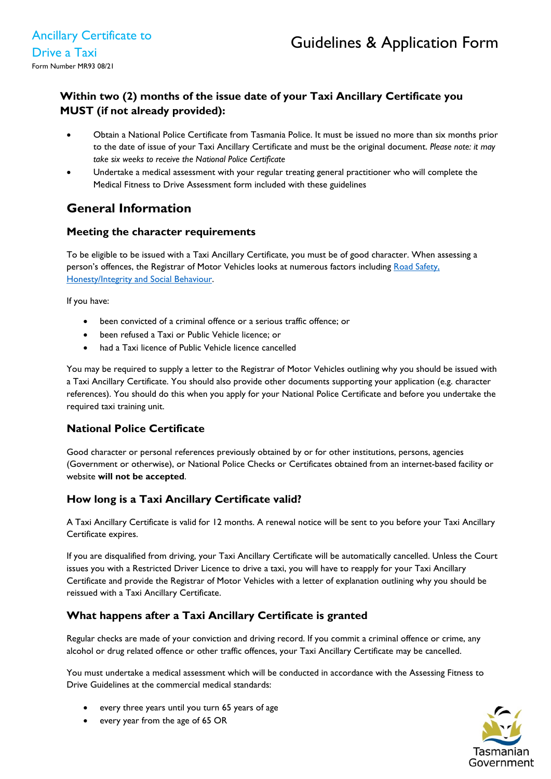## **Within two (2) months of the issue date of your Taxi Ancillary Certificate you MUST (if not already provided):**

- Obtain a National Police Certificate from Tasmania Police. It must be issued no more than six months prior to the date of issue of your Taxi Ancillary Certificate and must be the original document. *Please note: it may take six weeks to receive the National Police Certificate*
- Undertake a medical assessment with your regular treating general practitioner who will complete the Medical Fitness to Drive Assessment form included with these guidelines

# **General Information**

### **Meeting the character requirements**

To be eligible to be issued with a Taxi Ancillary Certificate, you must be of good character. When assessing a person's offences, the Registrar of Motor Vehicles looks at numerous factors including Road Safety. Honesty/Integrity [and Social Behaviour.](https://www.transport.tas.gov.au/__data/assets/pdf_file/0016/123190/Ancillary_Certificate_-_Decision_Making_Guidelines_-_Amended_V2_July_2016.pdf)

If you have:

- been convicted of a criminal offence or a serious traffic offence; or
- been refused a Taxi or Public Vehicle licence; or
- had a Taxi licence of Public Vehicle licence cancelled

You may be required to supply a letter to the Registrar of Motor Vehicles outlining why you should be issued with a Taxi Ancillary Certificate. You should also provide other documents supporting your application (e.g. character references). You should do this when you apply for your National Police Certificate and before you undertake the required taxi training unit.

## **National Police Certificate**

Good character or personal references previously obtained by or for other institutions, persons, agencies (Government or otherwise), or National Police Checks or Certificates obtained from an internet-based facility or website **will not be accepted**.

## **How long is a Taxi Ancillary Certificate valid?**

A Taxi Ancillary Certificate is valid for 12 months. A renewal notice will be sent to you before your Taxi Ancillary Certificate expires.

If you are disqualified from driving, your Taxi Ancillary Certificate will be automatically cancelled. Unless the Court issues you with a Restricted Driver Licence to drive a taxi, you will have to reapply for your Taxi Ancillary Certificate and provide the Registrar of Motor Vehicles with a letter of explanation outlining why you should be reissued with a Taxi Ancillary Certificate.

## **What happens after a Taxi Ancillary Certificate is granted**

Regular checks are made of your conviction and driving record. If you commit a criminal offence or crime, any alcohol or drug related offence or other traffic offences, your Taxi Ancillary Certificate may be cancelled.

You must undertake a medical assessment which will be conducted in accordance with the Assessing Fitness to Drive Guidelines at the commercial medical standards:

- every three years until you turn 65 years of age
- every year from the age of 65 OR

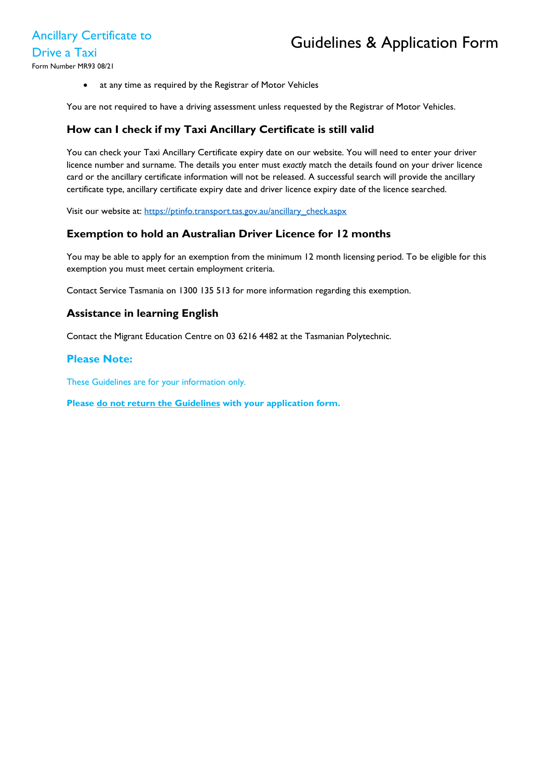• at any time as required by the Registrar of Motor Vehicles

You are not required to have a driving assessment unless requested by the Registrar of Motor Vehicles.

### **How can I check if my Taxi Ancillary Certificate is still valid**

You can check your Taxi Ancillary Certificate expiry date on our website. You will need to enter your driver licence number and surname. The details you enter must *exactly* match the details found on your driver licence card or the ancillary certificate information will not be released. A successful search will provide the ancillary certificate type, ancillary certificate expiry date and driver licence expiry date of the licence searched.

Visit our website at: [https://ptinfo.transport.tas.gov.au/ancillary\\_check.aspx](https://ptinfo.transport.tas.gov.au/ancillary_check.aspx)

#### **Exemption to hold an Australian Driver Licence for 12 months**

You may be able to apply for an exemption from the minimum 12 month licensing period. To be eligible for this exemption you must meet certain employment criteria.

Contact Service Tasmania on 1300 135 513 for more information regarding this exemption.

#### **Assistance in learning English**

Contact the Migrant Education Centre on 03 6216 4482 at the Tasmanian Polytechnic.

#### **Please Note:**

These Guidelines are for your information only.

**Please do not return the Guidelines with your application form.**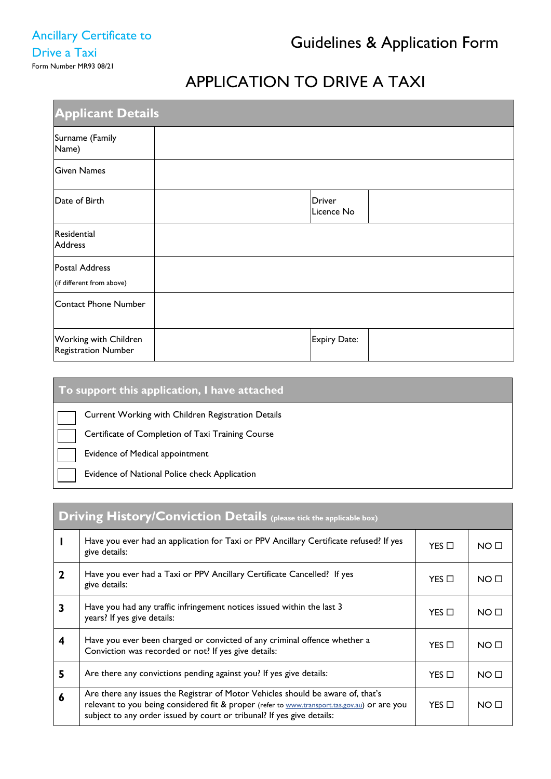# APPLICATION TO DRIVE A TAXI

| <b>Applicant Details</b>                     |  |                             |  |  |
|----------------------------------------------|--|-----------------------------|--|--|
| Surname (Family<br>Name)                     |  |                             |  |  |
| <b>Given Names</b>                           |  |                             |  |  |
| Date of Birth                                |  | <b>Driver</b><br>Licence No |  |  |
| Residential<br><b>Address</b>                |  |                             |  |  |
| Postal Address<br>(if different from above)  |  |                             |  |  |
| Contact Phone Number                         |  |                             |  |  |
| Working with Children<br>Registration Number |  | Expiry Date:                |  |  |

| To support this application, I have attached       |  |  |
|----------------------------------------------------|--|--|
| Current Working with Children Registration Details |  |  |
| Certificate of Completion of Taxi Training Course  |  |  |
| Evidence of Medical appointment                    |  |  |
| Evidence of National Police check Application      |  |  |

| <b>Driving History/Conviction Details</b> (please tick the applicable box) |                                                                                                                                                                                                                                                           |                 |                 |  |  |
|----------------------------------------------------------------------------|-----------------------------------------------------------------------------------------------------------------------------------------------------------------------------------------------------------------------------------------------------------|-----------------|-----------------|--|--|
|                                                                            | Have you ever had an application for Taxi or PPV Ancillary Certificate refused? If yes<br>$YES$ $\square$<br>give details:                                                                                                                                |                 | NO <sub>0</sub> |  |  |
| $\mathbf 2$                                                                | Have you ever had a Taxi or PPV Ancillary Certificate Cancelled? If yes<br>give details:                                                                                                                                                                  |                 | NO <sub>1</sub> |  |  |
| 3                                                                          | Have you had any traffic infringement notices issued within the last 3<br>years? If yes give details:                                                                                                                                                     |                 | NO <sub>1</sub> |  |  |
| 4                                                                          | Have you ever been charged or convicted of any criminal offence whether a<br>Conviction was recorded or not? If yes give details:                                                                                                                         |                 | NO <sub>0</sub> |  |  |
| 5                                                                          | Are there any convictions pending against you? If yes give details:                                                                                                                                                                                       |                 | NO <sub>1</sub> |  |  |
| 6                                                                          | Are there any issues the Registrar of Motor Vehicles should be aware of, that's<br>relevant to you being considered fit & proper (refer to www.transport.tas.gov.au) or are you<br>subject to any order issued by court or tribunal? If yes give details: | $YES$ $\square$ | NO <sub>1</sub> |  |  |